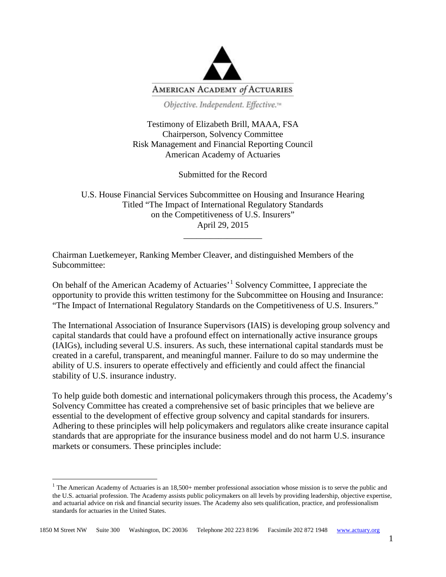

Objective. Independent. Effective.<sup>14</sup>

Testimony of Elizabeth Brill, MAAA, FSA Chairperson, Solvency Committee Risk Management and Financial Reporting Council American Academy of Actuaries

Submitted for the Record

U.S. House Financial Services Subcommittee on Housing and Insurance Hearing Titled "The Impact of International Regulatory Standards on the Competitiveness of U.S. Insurers" April 29, 2015

\_\_\_\_\_\_\_\_\_\_\_\_\_\_\_\_\_\_

Chairman Luetkemeyer, Ranking Member Cleaver, and distinguished Members of the Subcommittee:

On behalf of the American Academy of Actuaries'[1](#page-0-0) Solvency Committee, I appreciate the opportunity to provide this written testimony for the Subcommittee on Housing and Insurance: "The Impact of International Regulatory Standards on the Competitiveness of U.S. Insurers."

The International Association of Insurance Supervisors (IAIS) is developing group solvency and capital standards that could have a profound effect on internationally active insurance groups (IAIGs), including several U.S. insurers. As such, these international capital standards must be created in a careful, transparent, and meaningful manner. Failure to do so may undermine the ability of U.S. insurers to operate effectively and efficiently and could affect the financial stability of U.S. insurance industry.

To help guide both domestic and international policymakers through this process, the Academy's Solvency Committee has created a comprehensive set of basic principles that we believe are essential to the development of effective group solvency and capital standards for insurers. Adhering to these principles will help policymakers and regulators alike create insurance capital standards that are appropriate for the insurance business model and do not harm U.S. insurance markets or consumers. These principles include:

<span id="page-0-0"></span> $1$  The American Academy of Actuaries is an 18,500+ member professional association whose mission is to serve the public and the U.S. actuarial profession. The Academy assists public policymakers on all levels by providing leadership, objective expertise, and actuarial advice on risk and financial security issues. The Academy also sets qualification, practice, and professionalism standards for actuaries in the United States.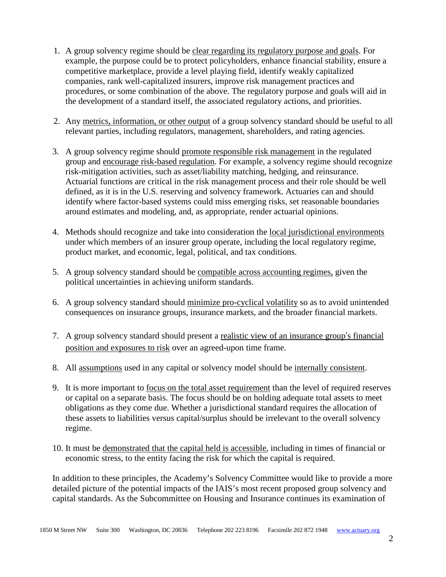- 1. A group solvency regime should be clear regarding its regulatory purpose and goals. For example, the purpose could be to protect policyholders, enhance financial stability, ensure a competitive marketplace, provide a level playing field, identify weakly capitalized companies, rank well-capitalized insurers, improve risk management practices and procedures, or some combination of the above. The regulatory purpose and goals will aid in the development of a standard itself, the associated regulatory actions, and priorities.
- 2. Any metrics, information, or other output of a group solvency standard should be useful to all relevant parties, including regulators, management, shareholders, and rating agencies.
- 3. A group solvency regime should promote responsible risk management in the regulated group and encourage risk-based regulation. For example, a solvency regime should recognize risk-mitigation activities, such as asset/liability matching, hedging, and reinsurance. Actuarial functions are critical in the risk management process and their role should be well defined, as it is in the U.S. reserving and solvency framework. Actuaries can and should identify where factor-based systems could miss emerging risks, set reasonable boundaries around estimates and modeling, and, as appropriate, render actuarial opinions.
- 4. Methods should recognize and take into consideration the local jurisdictional environments under which members of an insurer group operate, including the local regulatory regime, product market, and economic, legal, political, and tax conditions.
- 5. A group solvency standard should be compatible across accounting regimes, given the political uncertainties in achieving uniform standards.
- 6. A group solvency standard should minimize pro-cyclical volatility so as to avoid unintended consequences on insurance groups, insurance markets, and the broader financial markets.
- 7. A group solvency standard should present a realistic view of an insurance group's financial position and exposures to risk over an agreed-upon time frame.
- 8. All assumptions used in any capital or solvency model should be internally consistent.
- 9. It is more important to focus on the total asset requirement than the level of required reserves or capital on a separate basis. The focus should be on holding adequate total assets to meet obligations as they come due. Whether a jurisdictional standard requires the allocation of these assets to liabilities versus capital/surplus should be irrelevant to the overall solvency regime.
- 10. It must be demonstrated that the capital held is accessible, including in times of financial or economic stress, to the entity facing the risk for which the capital is required.

In addition to these principles, the Academy's Solvency Committee would like to provide a more detailed picture of the potential impacts of the IAIS's most recent proposed group solvency and capital standards. As the Subcommittee on Housing and Insurance continues its examination of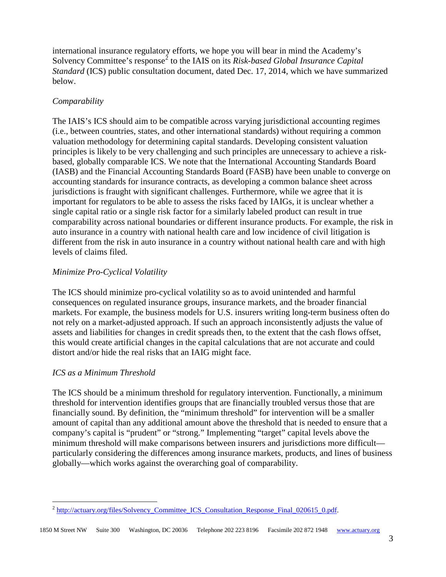international insurance regulatory efforts, we hope you will bear in mind the Academy's Solvency Committee's response<sup>[2](#page-2-0)</sup> to the IAIS on its *Risk-based Global Insurance Capital Standard* (ICS) public consultation document, dated Dec. 17, 2014, which we have summarized below.

## *Comparability*

The IAIS's ICS should aim to be compatible across varying jurisdictional accounting regimes (i.e., between countries, states, and other international standards) without requiring a common valuation methodology for determining capital standards. Developing consistent valuation principles is likely to be very challenging and such principles are unnecessary to achieve a riskbased, globally comparable ICS. We note that the International Accounting Standards Board (IASB) and the Financial Accounting Standards Board (FASB) have been unable to converge on accounting standards for insurance contracts, as developing a common balance sheet across jurisdictions is fraught with significant challenges. Furthermore, while we agree that it is important for regulators to be able to assess the risks faced by IAIGs, it is unclear whether a single capital ratio or a single risk factor for a similarly labeled product can result in true comparability across national boundaries or different insurance products. For example, the risk in auto insurance in a country with national health care and low incidence of civil litigation is different from the risk in auto insurance in a country without national health care and with high levels of claims filed.

## *Minimize Pro-Cyclical Volatility*

The ICS should minimize pro-cyclical volatility so as to avoid unintended and harmful consequences on regulated insurance groups, insurance markets, and the broader financial markets. For example, the business models for U.S. insurers writing long-term business often do not rely on a market-adjusted approach. If such an approach inconsistently adjusts the value of assets and liabilities for changes in credit spreads then, to the extent that the cash flows offset, this would create artificial changes in the capital calculations that are not accurate and could distort and/or hide the real risks that an IAIG might face.

## *ICS as a Minimum Threshold*

The ICS should be a minimum threshold for regulatory intervention. Functionally, a minimum threshold for intervention identifies groups that are financially troubled versus those that are financially sound. By definition, the "minimum threshold" for intervention will be a smaller amount of capital than any additional amount above the threshold that is needed to ensure that a company's capital is "prudent" or "strong." Implementing "target" capital levels above the minimum threshold will make comparisons between insurers and jurisdictions more difficult particularly considering the differences among insurance markets, products, and lines of business globally—which works against the overarching goal of comparability.

<span id="page-2-0"></span><sup>&</sup>lt;sup>2</sup> http://actuary.org/files/Solvency Committee ICS Consultation Response Final 020615 0.pdf.